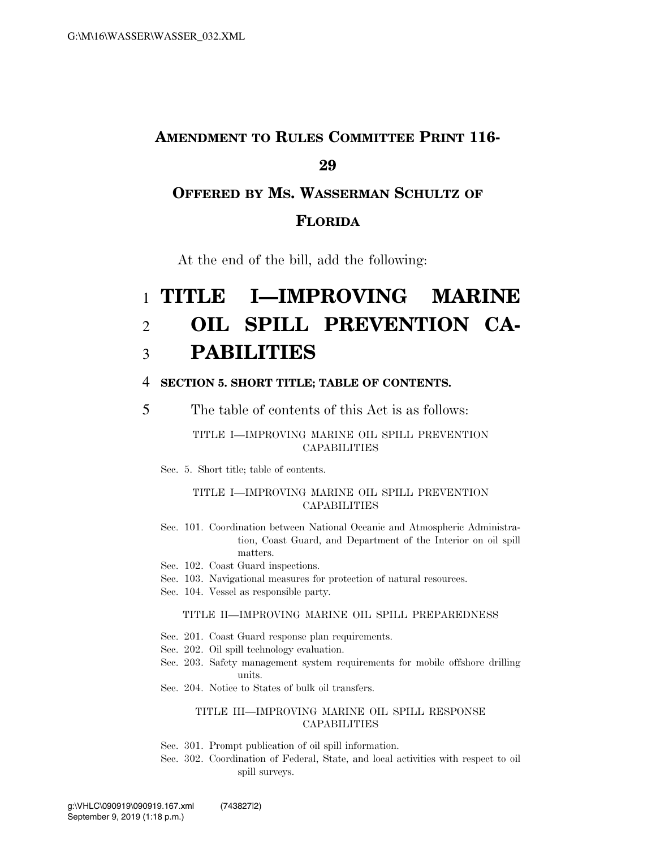## **AMENDMENT TO RULES COMMITTEE PRINT 116- 29**

## **OFFERED BY MS. WASSERMAN SCHULTZ OF FLORIDA**

At the end of the bill, add the following:

# 1 **TITLE I—IMPROVING MARINE**  2 **OIL SPILL PREVENTION CA-**3 **PABILITIES**

### 4 **SECTION 5. SHORT TITLE; TABLE OF CONTENTS.**

5 The table of contents of this Act is as follows:

### TITLE I—IMPROVING MARINE OIL SPILL PREVENTION **CAPABILITIES**

Sec. 5. Short title; table of contents.

### TITLE I—IMPROVING MARINE OIL SPILL PREVENTION **CAPABILITIES**

- Sec. 101. Coordination between National Oceanic and Atmospheric Administration, Coast Guard, and Department of the Interior on oil spill matters.
- Sec. 102. Coast Guard inspections.
- Sec. 103. Navigational measures for protection of natural resources.
- Sec. 104. Vessel as responsible party.

#### TITLE II—IMPROVING MARINE OIL SPILL PREPAREDNESS

- Sec. 201. Coast Guard response plan requirements.
- Sec. 202. Oil spill technology evaluation.
- Sec. 203. Safety management system requirements for mobile offshore drilling units.
- Sec. 204. Notice to States of bulk oil transfers.

### TITLE III—IMPROVING MARINE OIL SPILL RESPONSE **CAPABILITIES**

- Sec. 301. Prompt publication of oil spill information.
- Sec. 302. Coordination of Federal, State, and local activities with respect to oil spill surveys.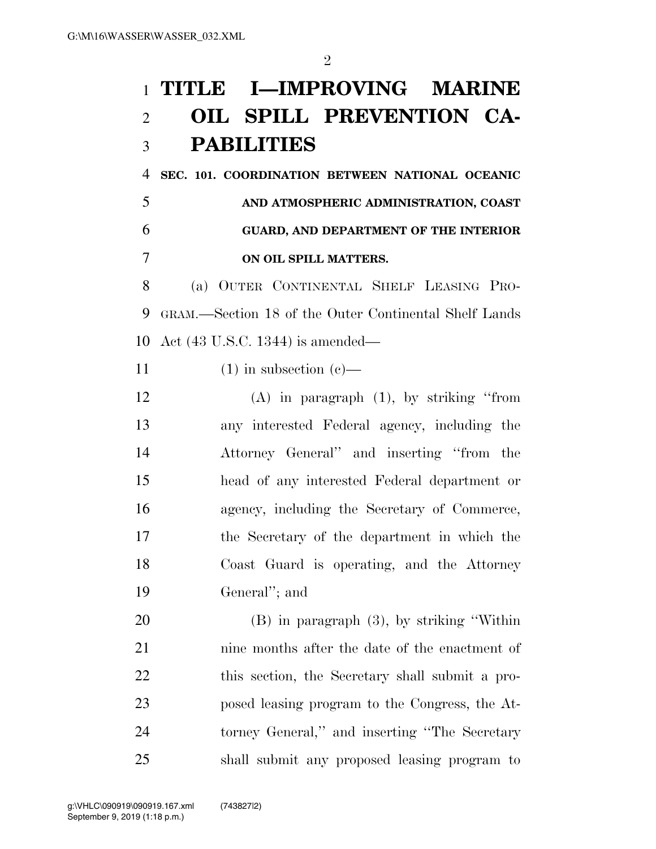# **TITLE I—IMPROVING MARINE OIL SPILL PREVENTION CA-PABILITIES**

 **SEC. 101. COORDINATION BETWEEN NATIONAL OCEANIC AND ATMOSPHERIC ADMINISTRATION, COAST GUARD, AND DEPARTMENT OF THE INTERIOR ON OIL SPILL MATTERS.** 

 (a) OUTER CONTINENTAL SHELF LEASING PRO- GRAM.—Section 18 of the Outer Continental Shelf Lands Act (43 U.S.C. 1344) is amended—

11 (1) in subsection  $(c)$ —

 (A) in paragraph (1), by striking ''from any interested Federal agency, including the Attorney General'' and inserting ''from the head of any interested Federal department or agency, including the Secretary of Commerce, the Secretary of the department in which the Coast Guard is operating, and the Attorney General''; and

 (B) in paragraph (3), by striking ''Within nine months after the date of the enactment of this section, the Secretary shall submit a pro- posed leasing program to the Congress, the At- torney General,'' and inserting ''The Secretary shall submit any proposed leasing program to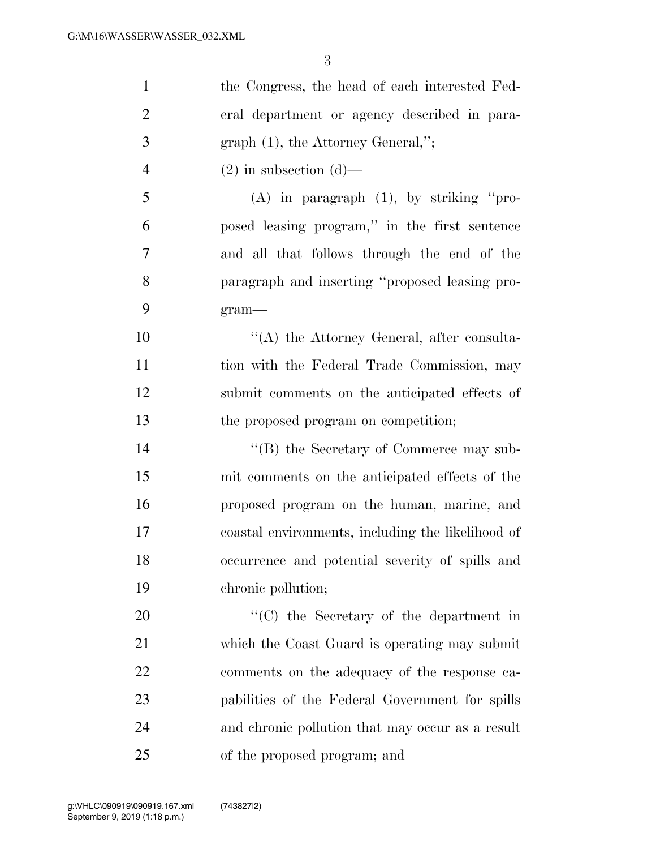| $\mathbf{1}$   | the Congress, the head of each interested Fed-    |
|----------------|---------------------------------------------------|
| $\overline{2}$ | eral department or agency described in para-      |
| 3              | $graph(1)$ , the Attorney General,";              |
| $\overline{4}$ | $(2)$ in subsection $(d)$ —                       |
| 5              | $(A)$ in paragraph $(1)$ , by striking "pro-      |
| 6              | posed leasing program," in the first sentence     |
| 7              | and all that follows through the end of the       |
| 8              | paragraph and inserting "proposed leasing pro-    |
| 9              | $gram$ —                                          |
| 10             | $\lq\lq$ the Attorney General, after consulta-    |
| 11             | tion with the Federal Trade Commission, may       |
| 12             | submit comments on the anticipated effects of     |
| 13             | the proposed program on competition;              |
| 14             | "(B) the Secretary of Commerce may sub-           |
| 15             | mit comments on the anticipated effects of the    |
| 16             | proposed program on the human, marine, and        |
| 17             | coastal environments, including the likelihood of |
| 18             | occurrence and potential severity of spills and   |
| 19             | chronic pollution;                                |
| 20             | $\lq\lq$ (C) the Secretary of the department in   |
| 21             | which the Coast Guard is operating may submit     |
| 22             | comments on the adequacy of the response ca-      |
| 23             | pabilities of the Federal Government for spills   |
| 24             | and chronic pollution that may occur as a result  |
| 25             | of the proposed program; and                      |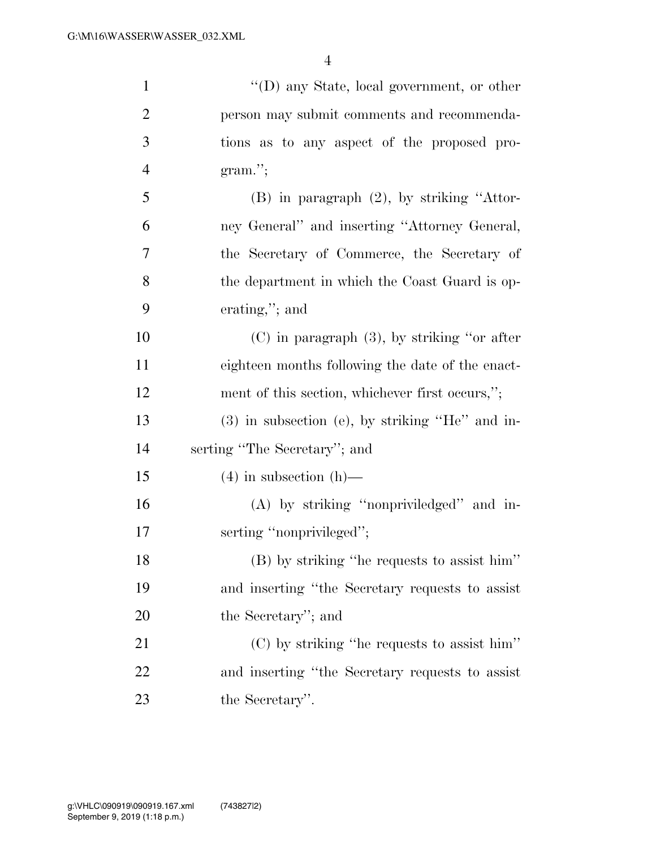| $\mathbf{1}$   | $\lq\lq$ (D) any State, local government, or other |
|----------------|----------------------------------------------------|
| $\overline{2}$ | person may submit comments and recommenda-         |
| 3              | tions as to any aspect of the proposed pro-        |
| $\overline{4}$ | $gram$ ";                                          |
| 5              | (B) in paragraph (2), by striking "Attor-          |
| 6              | ney General" and inserting "Attorney General,      |
| 7              | the Secretary of Commerce, the Secretary of        |
| 8              | the department in which the Coast Guard is op-     |
| 9              | erating,"; and                                     |
| 10             | $(C)$ in paragraph $(3)$ , by striking "or after   |
| 11             | eighteen months following the date of the enact-   |
| 12             | ment of this section, whichever first occurs,";    |
| 13             | $(3)$ in subsection (e), by striking "He" and in-  |
| 14             | serting "The Secretary"; and                       |
| 15             | $(4)$ in subsection $(h)$ —                        |
| 16             | (A) by striking "nonpriviledged" and in-           |
| 17             | serting "nonprivileged";                           |
| 18             | (B) by striking "he requests to assist him"        |
| 19             | and inserting "the Secretary requests to assist    |
| 20             | the Secretary"; and                                |
| 21             | $(C)$ by striking "he requests to assist him"      |
| 22             | and inserting "the Secretary requests to assist    |
| 23             | the Secretary".                                    |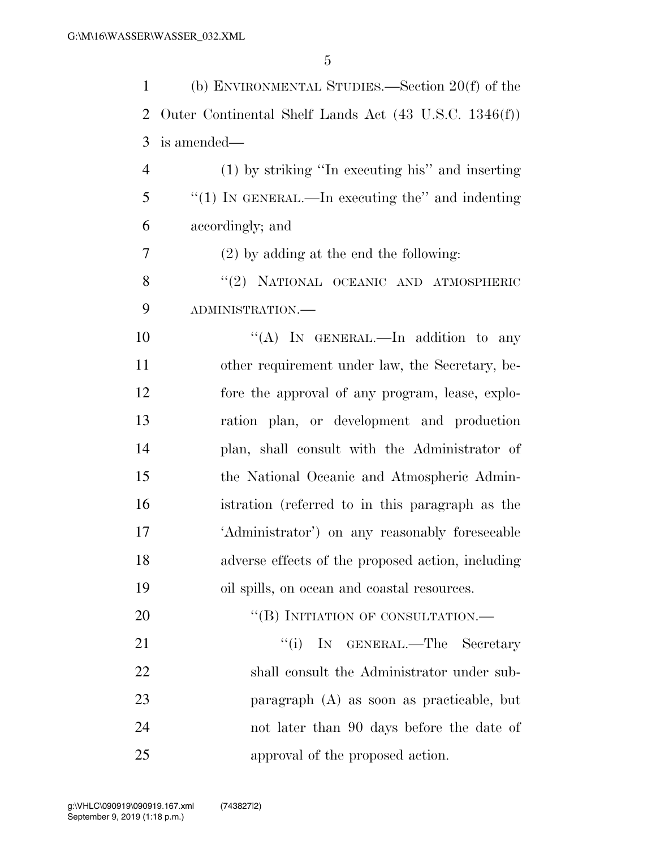| $\mathbf{1}$   | (b) ENVIRONMENTAL STUDIES.—Section $20(f)$ of the     |
|----------------|-------------------------------------------------------|
| $\overline{2}$ | Outer Continental Shelf Lands Act (43 U.S.C. 1346(f)) |
| 3              | is amended—                                           |
| 4              | (1) by striking "In executing his" and inserting      |
| 5              | "(1) IN GENERAL.—In executing the" and indenting      |
| 6              | accordingly; and                                      |
| 7              | $(2)$ by adding at the end the following:             |
| 8              | "(2) NATIONAL OCEANIC AND ATMOSPHERIC                 |
| 9              | ADMINISTRATION.-                                      |
| 10             | "(A) IN GENERAL.—In addition to any                   |
| 11             | other requirement under law, the Secretary, be-       |
| 12             | fore the approval of any program, lease, explo-       |
| 13             | ration plan, or development and production            |
| 14             | plan, shall consult with the Administrator of         |
| 15             | the National Oceanic and Atmospheric Admin-           |
| 16             | istration (referred to in this paragraph as the       |
| 17             | 'Administrator') on any reasonably foreseeable        |
| 18             | adverse effects of the proposed action, including     |
| 19             | oil spills, on ocean and coastal resources.           |
| 20             | "(B) INITIATION OF CONSULTATION.—                     |
| 21             | ``(i)<br>IN GENERAL.—The Secretary                    |
| 22             | shall consult the Administrator under sub-            |
| 23             | paragraph $(A)$ as soon as practicable, but           |
| 24             | not later than 90 days before the date of             |
| 25             | approval of the proposed action.                      |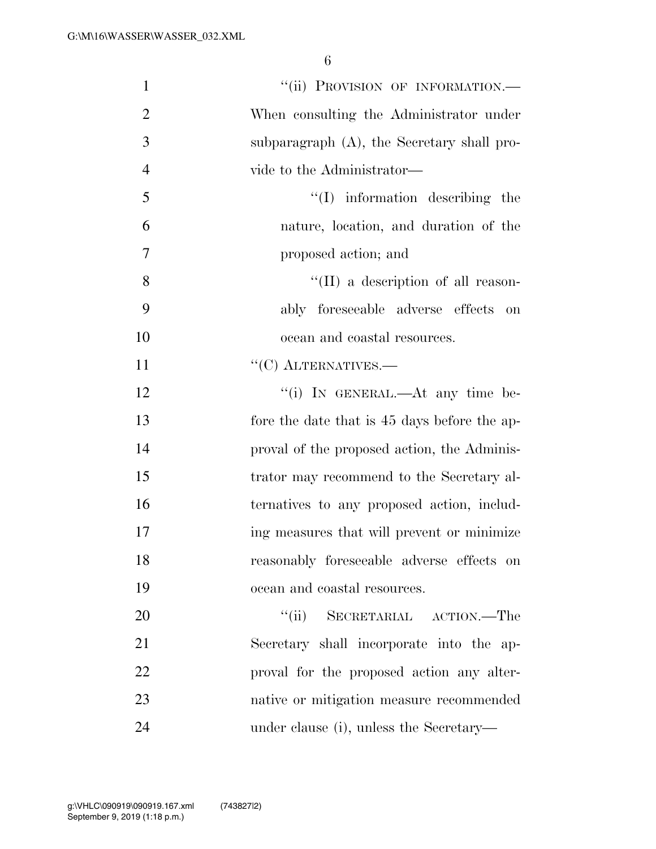| $\mathbf{1}$   | "(ii) PROVISION OF INFORMATION.-              |
|----------------|-----------------------------------------------|
| $\overline{2}$ | When consulting the Administrator under       |
| 3              | subparagraph $(A)$ , the Secretary shall pro- |
| $\overline{4}$ | vide to the Administrator—                    |
| 5              | $\lq\lq$ information describing the           |
| 6              | nature, location, and duration of the         |
| $\overline{7}$ | proposed action; and                          |
| 8              | $\lq\lq$ (II) a description of all reason-    |
| 9              | ably foreseeable adverse effects on           |
| 10             | ocean and coastal resources.                  |
| 11             | $\lq\lq$ (C) ALTERNATIVES.—                   |
| 12             | "(i) IN GENERAL.—At any time be-              |
| 13             | fore the date that is 45 days before the ap-  |
| 14             | proval of the proposed action, the Adminis-   |
| 15             | trator may recommend to the Secretary al-     |
| 16             | ternatives to any proposed action, includ-    |
| 17             | ing measures that will prevent or minimize    |
| 18             | reasonably foreseeable adverse effects on     |
| 19             | ocean and coastal resources.                  |
| 20             | "(ii) SECRETARIAL ACTION.—The                 |
| 21             | Secretary shall incorporate into the ap-      |
| 22             | proval for the proposed action any alter-     |
| 23             | native or mitigation measure recommended      |
| 24             | under clause (i), unless the Secretary—       |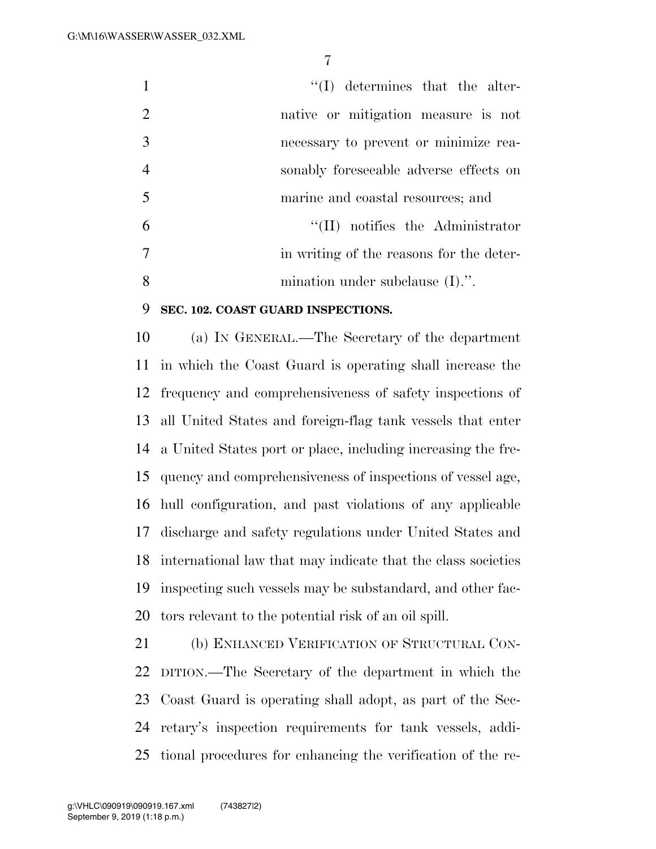|                | $\lq\lq$ determines that the alter-      |
|----------------|------------------------------------------|
| $\overline{2}$ | native or mitigation measure is not      |
| 3              | necessary to prevent or minimize rea-    |
| $\overline{4}$ | sonably foreseeable adverse effects on   |
| $\sqrt{5}$     | marine and coastal resources; and        |
| 6              | $\lq\lq$ (II) notifies the Administrator |
|                | in writing of the reasons for the deter- |
| 8              | mination under subclause $(I)$ .".       |

## **SEC. 102. COAST GUARD INSPECTIONS.**

 (a) IN GENERAL.—The Secretary of the department in which the Coast Guard is operating shall increase the frequency and comprehensiveness of safety inspections of all United States and foreign-flag tank vessels that enter a United States port or place, including increasing the fre- quency and comprehensiveness of inspections of vessel age, hull configuration, and past violations of any applicable discharge and safety regulations under United States and international law that may indicate that the class societies inspecting such vessels may be substandard, and other fac-tors relevant to the potential risk of an oil spill.

 (b) ENHANCED VERIFICATION OF STRUCTURAL CON- DITION.—The Secretary of the department in which the Coast Guard is operating shall adopt, as part of the Sec- retary's inspection requirements for tank vessels, addi-tional procedures for enhancing the verification of the re-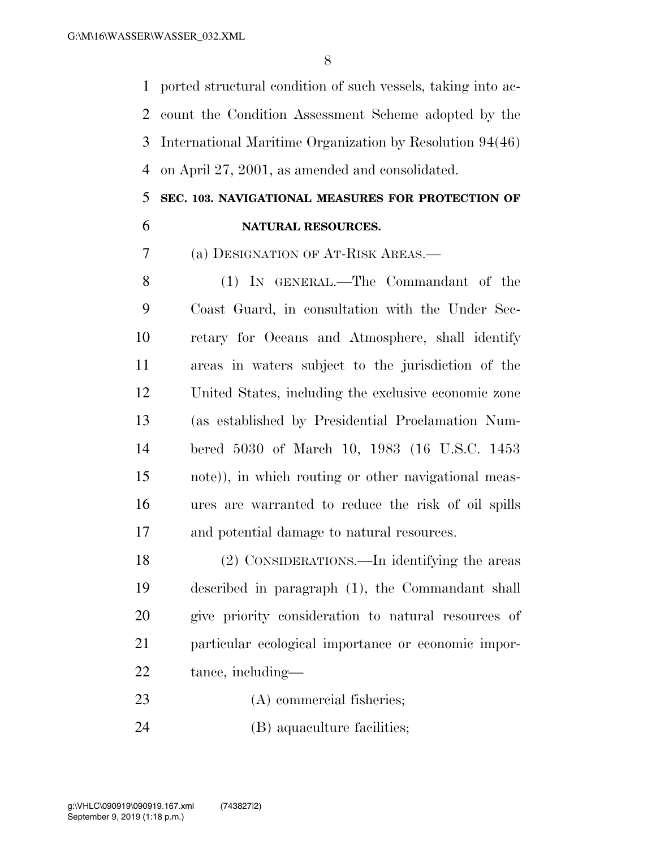ported structural condition of such vessels, taking into ac- count the Condition Assessment Scheme adopted by the International Maritime Organization by Resolution 94(46) on April 27, 2001, as amended and consolidated.

# **SEC. 103. NAVIGATIONAL MEASURES FOR PROTECTION OF**

**NATURAL RESOURCES.** 

(a) DESIGNATION OF AT-RISK AREAS.—

 (1) IN GENERAL.—The Commandant of the Coast Guard, in consultation with the Under Sec- retary for Oceans and Atmosphere, shall identify areas in waters subject to the jurisdiction of the United States, including the exclusive economic zone (as established by Presidential Proclamation Num- bered 5030 of March 10, 1983 (16 U.S.C. 1453 note)), in which routing or other navigational meas- ures are warranted to reduce the risk of oil spills and potential damage to natural resources.

 (2) CONSIDERATIONS.—In identifying the areas described in paragraph (1), the Commandant shall give priority consideration to natural resources of particular ecological importance or economic impor-tance, including—

- (A) commercial fisheries;
- (B) aquaculture facilities;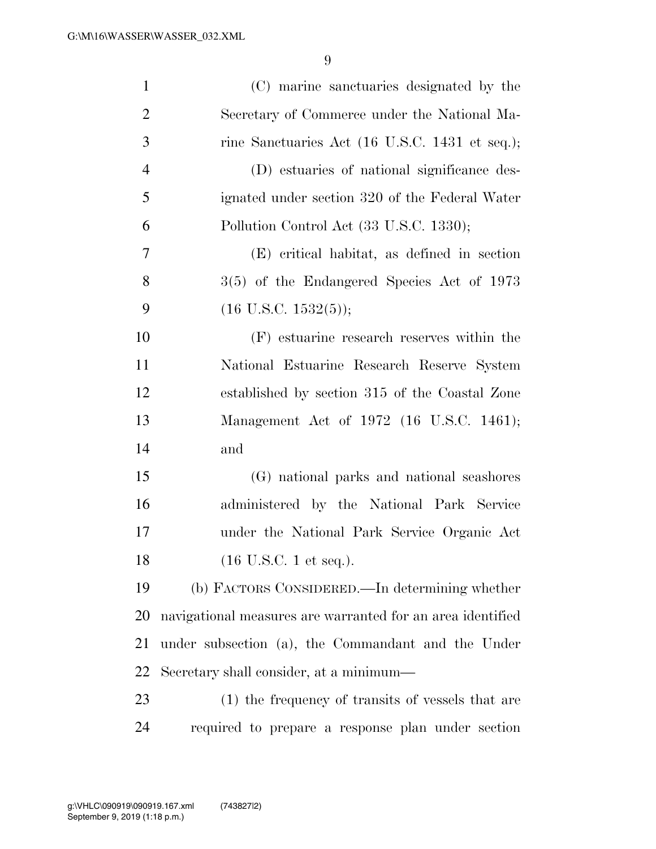| $\mathbf{1}$   | (C) marine sanctuaries designated by the                   |
|----------------|------------------------------------------------------------|
| $\overline{2}$ | Secretary of Commerce under the National Ma-               |
| 3              | rine Sanctuaries Act (16 U.S.C. 1431 et seq.);             |
| $\overline{4}$ | (D) estuaries of national significance des-                |
| 5              | ignated under section 320 of the Federal Water             |
| 6              | Pollution Control Act (33 U.S.C. 1330);                    |
| 7              | (E) critical habitat, as defined in section                |
| 8              | $3(5)$ of the Endangered Species Act of 1973               |
| 9              | $(16 \text{ U.S.C. } 1532(5));$                            |
| 10             | (F) estuarine research reserves within the                 |
| 11             | National Estuarine Research Reserve System                 |
| 12             | established by section 315 of the Coastal Zone             |
| 13             | Management Act of 1972 (16 U.S.C. 1461);                   |
| 14             | and                                                        |
| 15             | (G) national parks and national seashores                  |
| 16             | administered by the National Park Service                  |
| 17             | under the National Park Service Organic Act                |
| 18             | $(16$ U.S.C. 1 et seq.).                                   |
| 19             | (b) FACTORS CONSIDERED.—In determining whether             |
| 20             | navigational measures are warranted for an area identified |
| 21             | under subsection (a), the Commandant and the Under         |
| 22             | Secretary shall consider, at a minimum—                    |
| 23             | (1) the frequency of transits of vessels that are          |
| 24             | required to prepare a response plan under section          |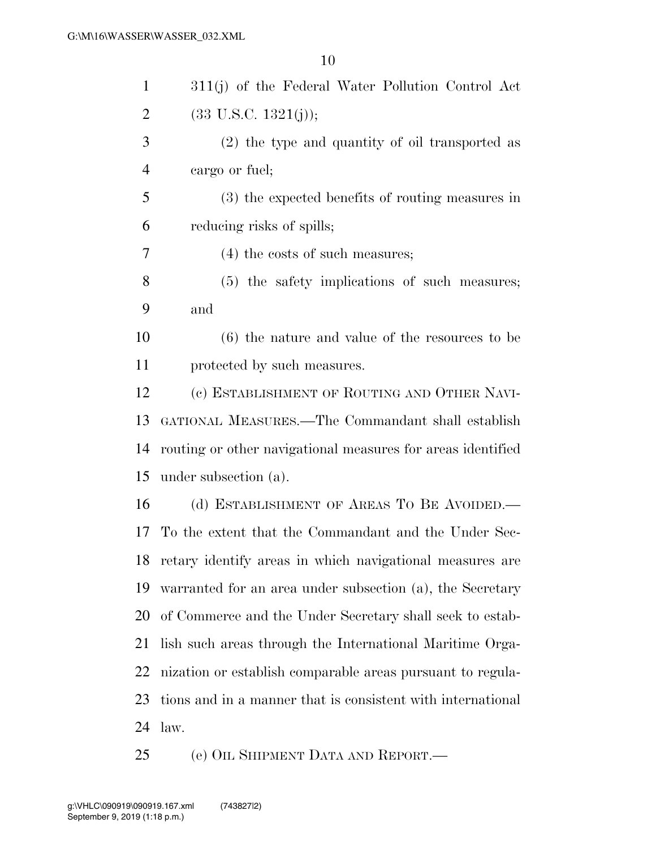| $\mathbf{1}$   | 311(j) of the Federal Water Pollution Control Act           |
|----------------|-------------------------------------------------------------|
| $\overline{2}$ | $(33 \text{ U.S.C. } 1321(j));$                             |
| 3              | $(2)$ the type and quantity of oil transported as           |
| $\overline{4}$ | cargo or fuel;                                              |
| 5              | (3) the expected benefits of routing measures in            |
| 6              | reducing risks of spills;                                   |
| 7              | $(4)$ the costs of such measures;                           |
| 8              | (5) the safety implications of such measures;               |
| 9              | and                                                         |
| 10             | $(6)$ the nature and value of the resources to be           |
| 11             | protected by such measures.                                 |
| 12             | (c) ESTABLISHMENT OF ROUTING AND OTHER NAVI-                |
| 13             | GATIONAL MEASURES.—The Commandant shall establish           |
| 14             | routing or other navigational measures for areas identified |
| 15             | under subsection (a).                                       |
| 16             | (d) ESTABLISHMENT OF AREAS TO BE AVOIDED.—                  |
| 17             | To the extent that the Commandant and the Under Sec-        |
|                | 18 retary identify areas in which navigational measures are |
| 19             | warranted for an area under subsection (a), the Secretary   |
| 20             | of Commerce and the Under Secretary shall seek to estab-    |
| 21             | lish such areas through the International Maritime Orga-    |
| 22             | nization or establish comparable areas pursuant to regula-  |
| 23             | tions and in a manner that is consistent with international |
| 24             | law.                                                        |
| 25             | (e) OIL SHIPMENT DATA AND REPORT.—                          |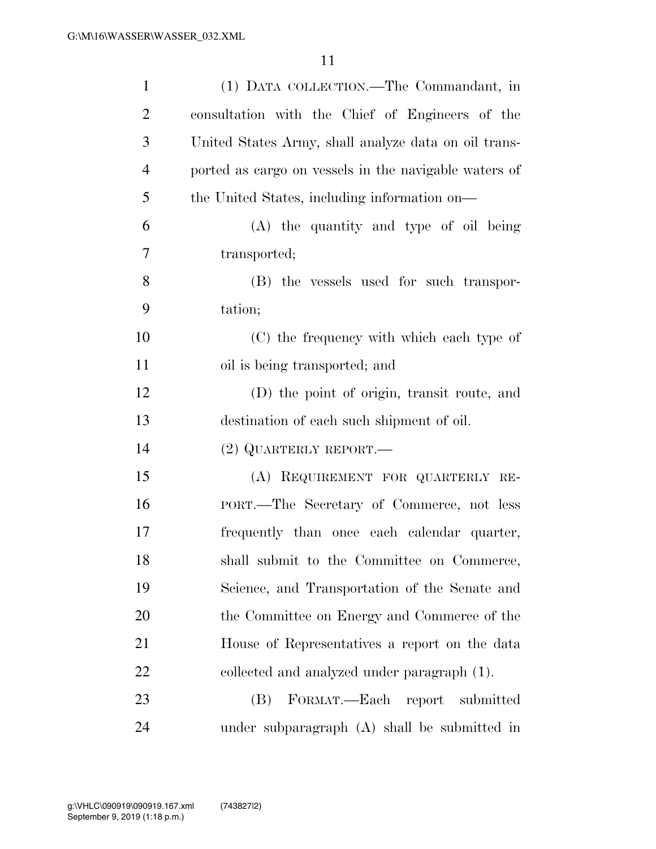| $\mathbf{1}$   | (1) DATA COLLECTION.—The Commandant, in               |
|----------------|-------------------------------------------------------|
| $\overline{2}$ | consultation with the Chief of Engineers of the       |
| 3              | United States Army, shall analyze data on oil trans-  |
| $\overline{4}$ | ported as cargo on vessels in the navigable waters of |
| 5              | the United States, including information on—          |
| 6              | (A) the quantity and type of oil being                |
| $\overline{7}$ | transported;                                          |
| 8              | (B) the vessels used for such transpor-               |
| 9              | tation;                                               |
| 10             | (C) the frequency with which each type of             |
| 11             | oil is being transported; and                         |
| 12             | (D) the point of origin, transit route, and           |
| 13             | destination of each such shipment of oil.             |
| 14             | $(2)$ QUARTERLY REPORT.—                              |
| 15             | (A) REQUIREMENT FOR QUARTERLY RE-                     |
| 16             | PORT.—The Secretary of Commerce, not less             |
| 17             | frequently than once each calendar quarter,           |
| 18             | shall submit to the Committee on Commerce,            |
| 19             | Science, and Transportation of the Senate and         |
| 20             | the Committee on Energy and Commerce of the           |
| 21             | House of Representatives a report on the data         |
| 22             | collected and analyzed under paragraph (1).           |
| 23             | FORMAT.—Each report submitted<br>(B)                  |
| 24             | under subparagraph (A) shall be submitted in          |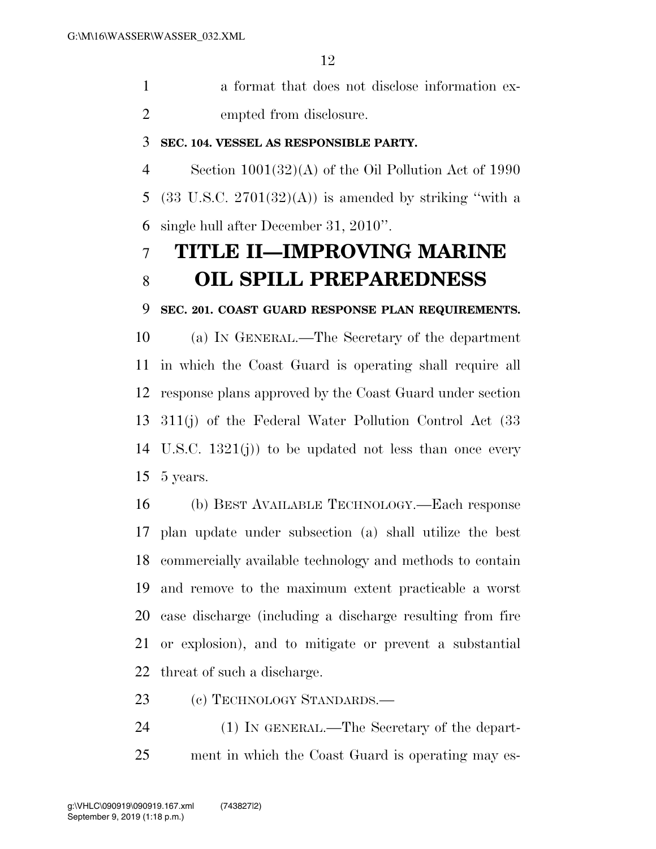a format that does not disclose information ex-empted from disclosure.

### **SEC. 104. VESSEL AS RESPONSIBLE PARTY.**

 Section 1001(32)(A) of the Oil Pollution Act of 1990 5 (33 U.S.C.  $2701(32)(\text{A})$ ) is amended by striking "with a single hull after December 31, 2010''.

# **TITLE II—IMPROVING MARINE OIL SPILL PREPAREDNESS**

**SEC. 201. COAST GUARD RESPONSE PLAN REQUIREMENTS.** 

 (a) IN GENERAL.—The Secretary of the department in which the Coast Guard is operating shall require all response plans approved by the Coast Guard under section 311(j) of the Federal Water Pollution Control Act (33 U.S.C. 1321(j)) to be updated not less than once every 5 years.

 (b) BEST AVAILABLE TECHNOLOGY.—Each response plan update under subsection (a) shall utilize the best commercially available technology and methods to contain and remove to the maximum extent practicable a worst case discharge (including a discharge resulting from fire or explosion), and to mitigate or prevent a substantial threat of such a discharge.

(c) TECHNOLOGY STANDARDS.—

 (1) IN GENERAL.—The Secretary of the depart-ment in which the Coast Guard is operating may es-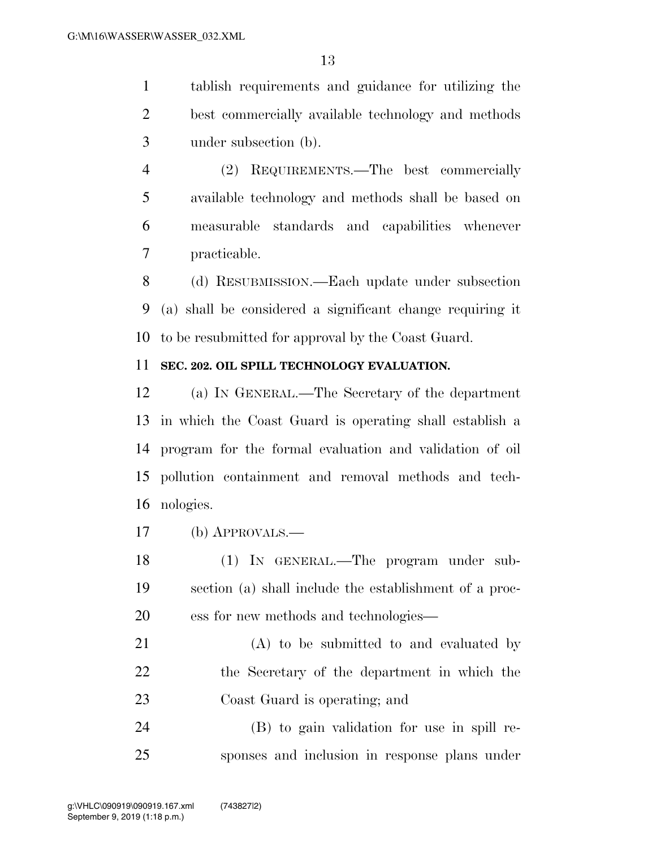tablish requirements and guidance for utilizing the best commercially available technology and methods under subsection (b).

 (2) REQUIREMENTS.—The best commercially available technology and methods shall be based on measurable standards and capabilities whenever practicable.

 (d) RESUBMISSION.—Each update under subsection (a) shall be considered a significant change requiring it to be resubmitted for approval by the Coast Guard.

## **SEC. 202. OIL SPILL TECHNOLOGY EVALUATION.**

 (a) IN GENERAL.—The Secretary of the department in which the Coast Guard is operating shall establish a program for the formal evaluation and validation of oil pollution containment and removal methods and tech-nologies.

(b) APPROVALS.—

 (1) IN GENERAL.—The program under sub- section (a) shall include the establishment of a proc-ess for new methods and technologies—

 (A) to be submitted to and evaluated by the Secretary of the department in which the Coast Guard is operating; and

 (B) to gain validation for use in spill re-sponses and inclusion in response plans under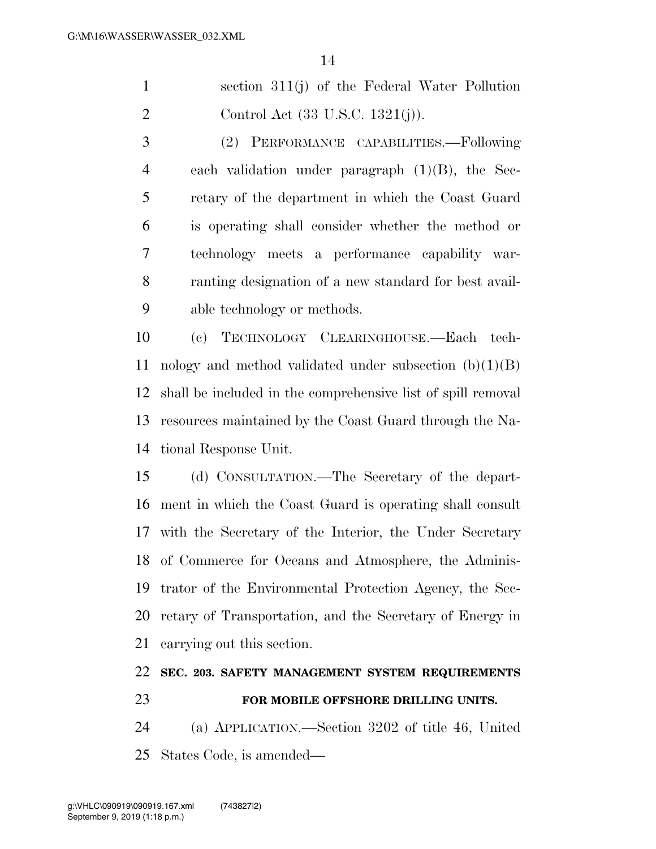section 311(j) of the Federal Water Pollution Control Act (33 U.S.C. 1321(j)).

 (2) PERFORMANCE CAPABILITIES.—Following each validation under paragraph (1)(B), the Sec- retary of the department in which the Coast Guard is operating shall consider whether the method or technology meets a performance capability war- ranting designation of a new standard for best avail-able technology or methods.

 (c) TECHNOLOGY CLEARINGHOUSE.—Each tech-11 nology and method validated under subsection  $(b)(1)(B)$  shall be included in the comprehensive list of spill removal resources maintained by the Coast Guard through the Na-tional Response Unit.

 (d) CONSULTATION.—The Secretary of the depart- ment in which the Coast Guard is operating shall consult with the Secretary of the Interior, the Under Secretary of Commerce for Oceans and Atmosphere, the Adminis- trator of the Environmental Protection Agency, the Sec- retary of Transportation, and the Secretary of Energy in carrying out this section.

## **SEC. 203. SAFETY MANAGEMENT SYSTEM REQUIREMENTS FOR MOBILE OFFSHORE DRILLING UNITS.**

 (a) APPLICATION.—Section 3202 of title 46, United States Code, is amended—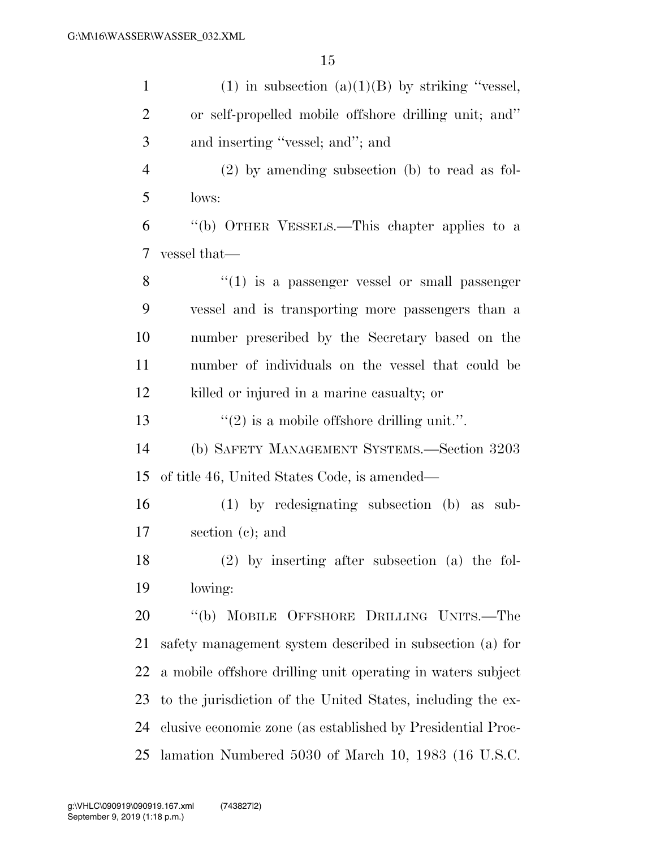| $\mathbf{1}$   | (1) in subsection (a) $(1)(B)$ by striking "vessel,         |
|----------------|-------------------------------------------------------------|
| $\overline{2}$ | or self-propelled mobile offshore drilling unit; and"       |
| 3              | and inserting "vessel; and"; and                            |
| $\overline{4}$ | $(2)$ by amending subsection (b) to read as fol-            |
| 5              | lows:                                                       |
| 6              | "(b) OTHER VESSELS.—This chapter applies to a               |
| $\overline{7}$ | vessel that—                                                |
| 8              | $``(1)$ is a passenger vessel or small passenger            |
| 9              | vessel and is transporting more passengers than a           |
| 10             | number prescribed by the Secretary based on the             |
| 11             | number of individuals on the vessel that could be           |
| 12             | killed or injured in a marine casualty; or                  |
| 13             | $\lq(2)$ is a mobile offshore drilling unit.".              |
| 14             | (b) SAFETY MANAGEMENT SYSTEMS.—Section 3203                 |
| 15             | of title 46, United States Code, is amended—                |
| 16             | $(1)$ by redesignating subsection $(b)$ as sub-             |
| 17             | section $(c)$ ; and                                         |
| 18             | (2) by inserting after subsection (a) the fol-              |
| 19             | lowing:                                                     |
| 20             | "(b) MOBILE OFFSHORE DRILLING UNITS.—The                    |
| 21             | safety management system described in subsection (a) for    |
| 22             | a mobile offshore drilling unit operating in waters subject |
| 23             | to the jurisdiction of the United States, including the ex- |
| 24             | clusive economic zone (as established by Presidential Proc- |
| 25             | lamation Numbered 5030 of March 10, 1983 (16 U.S.C.         |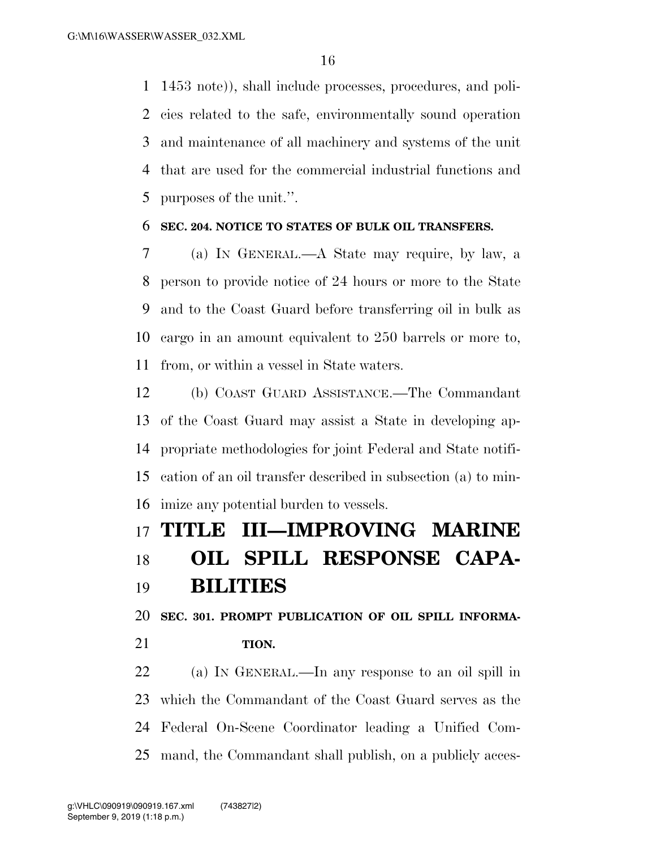1453 note)), shall include processes, procedures, and poli- cies related to the safe, environmentally sound operation and maintenance of all machinery and systems of the unit that are used for the commercial industrial functions and purposes of the unit.''.

## **SEC. 204. NOTICE TO STATES OF BULK OIL TRANSFERS.**

 (a) IN GENERAL.—A State may require, by law, a person to provide notice of 24 hours or more to the State and to the Coast Guard before transferring oil in bulk as cargo in an amount equivalent to 250 barrels or more to, from, or within a vessel in State waters.

 (b) COAST GUARD ASSISTANCE.—The Commandant of the Coast Guard may assist a State in developing ap- propriate methodologies for joint Federal and State notifi- cation of an oil transfer described in subsection (a) to min-imize any potential burden to vessels.

## **TITLE III—IMPROVING MARINE**

# **OIL SPILL RESPONSE CAPA-BILITIES**

**SEC. 301. PROMPT PUBLICATION OF OIL SPILL INFORMA-**

**TION.** 

 (a) IN GENERAL.—In any response to an oil spill in which the Commandant of the Coast Guard serves as the Federal On-Scene Coordinator leading a Unified Com-mand, the Commandant shall publish, on a publicly acces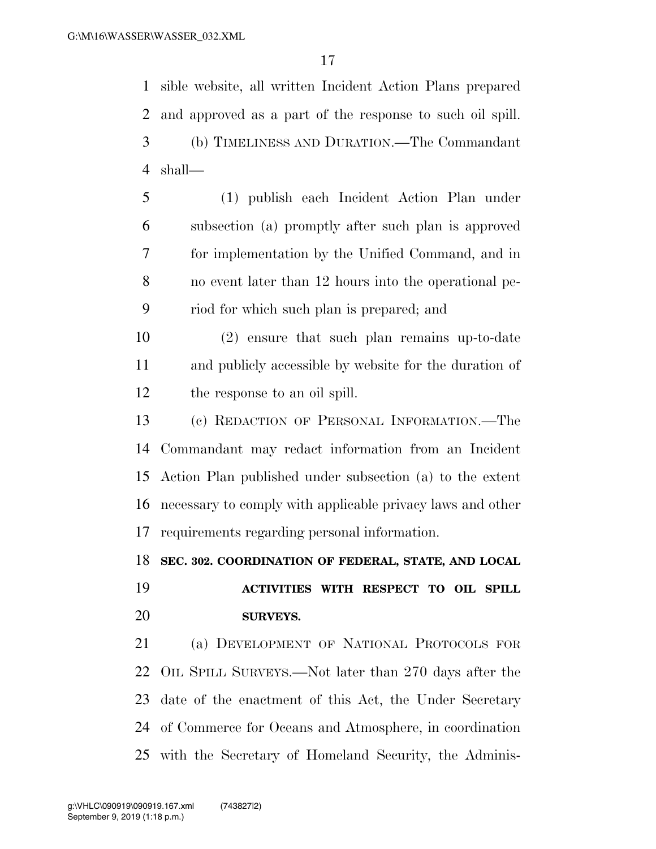sible website, all written Incident Action Plans prepared and approved as a part of the response to such oil spill. (b) TIMELINESS AND DURATION.—The Commandant shall—

- (1) publish each Incident Action Plan under subsection (a) promptly after such plan is approved for implementation by the Unified Command, and in no event later than 12 hours into the operational pe-riod for which such plan is prepared; and
- (2) ensure that such plan remains up-to-date and publicly accessible by website for the duration of the response to an oil spill.
- (c) REDACTION OF PERSONAL INFORMATION.—The Commandant may redact information from an Incident Action Plan published under subsection (a) to the extent necessary to comply with applicable privacy laws and other requirements regarding personal information.

## **SEC. 302. COORDINATION OF FEDERAL, STATE, AND LOCAL**

# **ACTIVITIES WITH RESPECT TO OIL SPILL SURVEYS.**

 (a) DEVELOPMENT OF NATIONAL PROTOCOLS FOR OIL SPILL SURVEYS.—Not later than 270 days after the date of the enactment of this Act, the Under Secretary of Commerce for Oceans and Atmosphere, in coordination with the Secretary of Homeland Security, the Adminis-